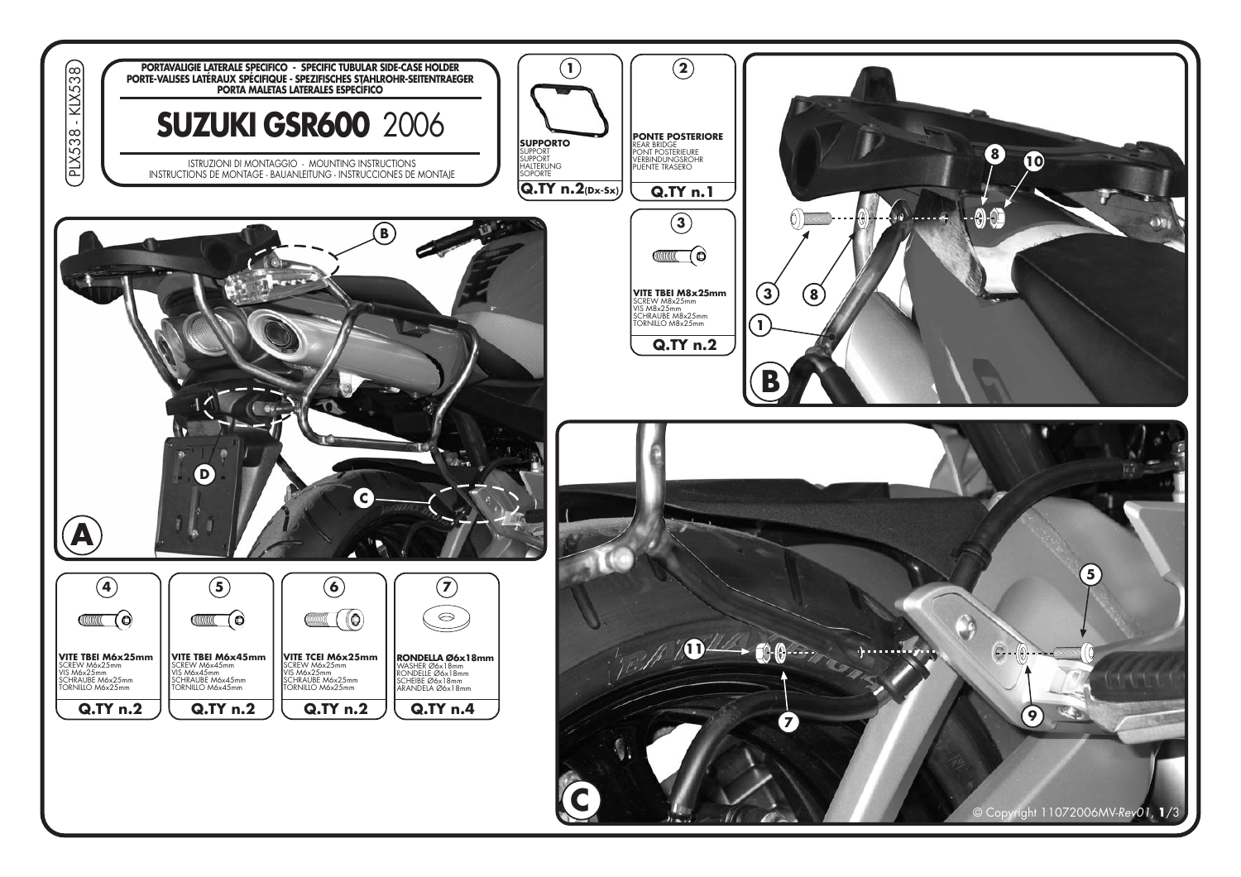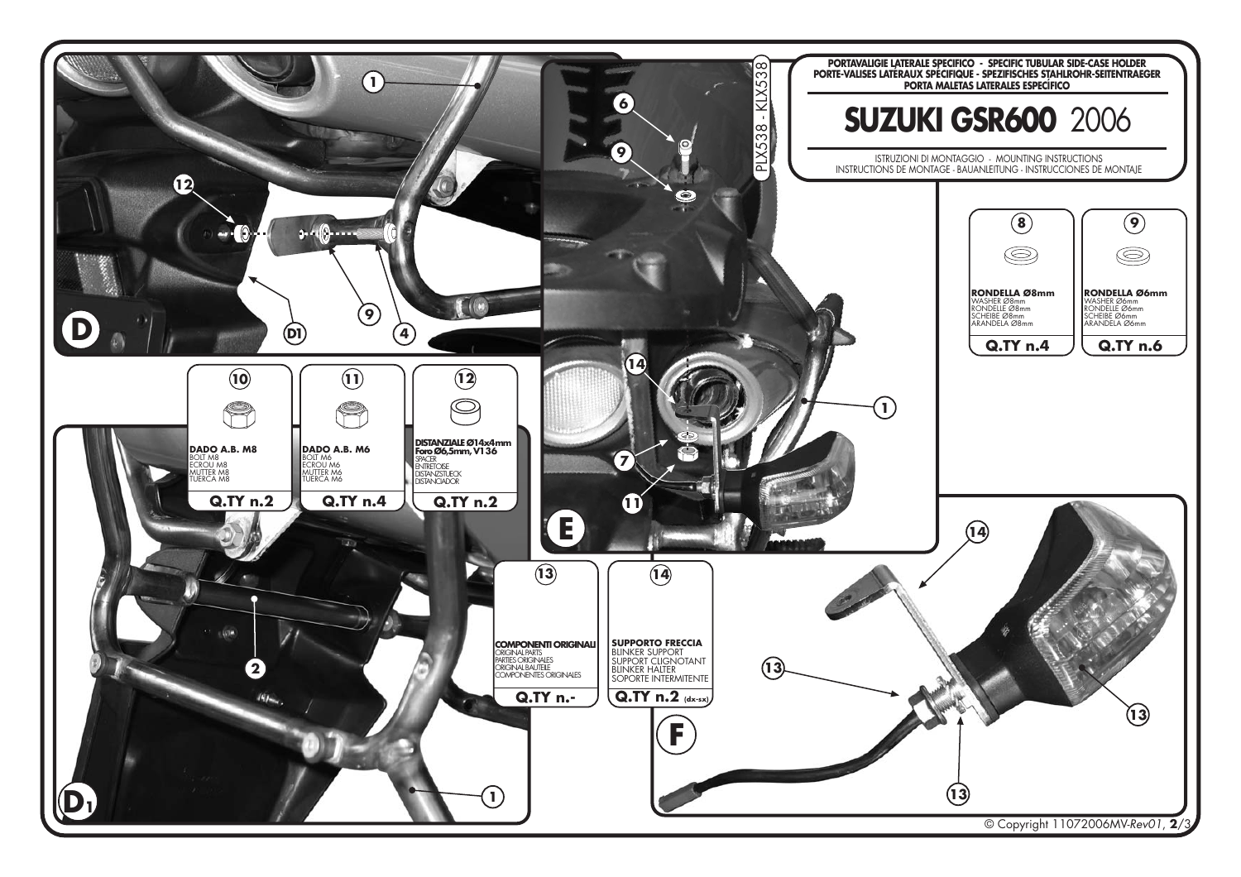